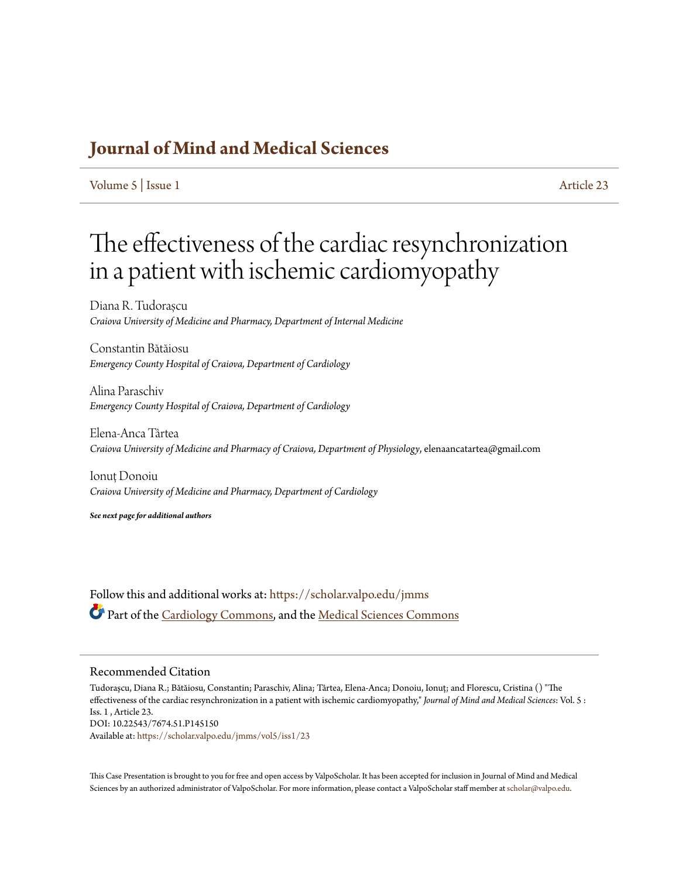## **[Journal of Mind and Medical Sciences](https://scholar.valpo.edu/jmms?utm_source=scholar.valpo.edu%2Fjmms%2Fvol5%2Fiss1%2F23&utm_medium=PDF&utm_campaign=PDFCoverPages)**

[Volume 5](https://scholar.valpo.edu/jmms/vol5?utm_source=scholar.valpo.edu%2Fjmms%2Fvol5%2Fiss1%2F23&utm_medium=PDF&utm_campaign=PDFCoverPages) | [Issue 1](https://scholar.valpo.edu/jmms/vol5/iss1?utm_source=scholar.valpo.edu%2Fjmms%2Fvol5%2Fiss1%2F23&utm_medium=PDF&utm_campaign=PDFCoverPages) [Article 23](https://scholar.valpo.edu/jmms/vol5/iss1/23?utm_source=scholar.valpo.edu%2Fjmms%2Fvol5%2Fiss1%2F23&utm_medium=PDF&utm_campaign=PDFCoverPages)

## The effectiveness of the cardiac resynchronization in a patient with ischemic cardiomyopathy

Diana R. Tudorașcu *Craiova University of Medicine and Pharmacy, Department of Internal Medicine*

Constantin Bătăiosu *Emergency County Hospital of Craiova, Department of Cardiology*

Alina Paraschiv *Emergency County Hospital of Craiova, Department of Cardiology*

Elena-Anca Târtea *Craiova University of Medicine and Pharmacy of Craiova, Department of Physiology*, elenaancatartea@gmail.com

Ionuț Donoiu *Craiova University of Medicine and Pharmacy, Department of Cardiology*

*See next page for additional authors*

Follow this and additional works at: [https://scholar.valpo.edu/jmms](https://scholar.valpo.edu/jmms?utm_source=scholar.valpo.edu%2Fjmms%2Fvol5%2Fiss1%2F23&utm_medium=PDF&utm_campaign=PDFCoverPages) Part of the [Cardiology Commons](http://network.bepress.com/hgg/discipline/683?utm_source=scholar.valpo.edu%2Fjmms%2Fvol5%2Fiss1%2F23&utm_medium=PDF&utm_campaign=PDFCoverPages), and the [Medical Sciences Commons](http://network.bepress.com/hgg/discipline/664?utm_source=scholar.valpo.edu%2Fjmms%2Fvol5%2Fiss1%2F23&utm_medium=PDF&utm_campaign=PDFCoverPages)

### Recommended Citation

Tudorașcu, Diana R.; Bătăiosu, Constantin; Paraschiv, Alina; Târtea, Elena-Anca; Donoiu, Ionuț; and Florescu, Cristina () "The effectiveness of the cardiac resynchronization in a patient with ischemic cardiomyopathy," *Journal of Mind and Medical Sciences*: Vol. 5 : Iss. 1 , Article 23. DOI: 10.22543/7674.51.P145150 Available at: [https://scholar.valpo.edu/jmms/vol5/iss1/23](https://scholar.valpo.edu/jmms/vol5/iss1/23?utm_source=scholar.valpo.edu%2Fjmms%2Fvol5%2Fiss1%2F23&utm_medium=PDF&utm_campaign=PDFCoverPages)

This Case Presentation is brought to you for free and open access by ValpoScholar. It has been accepted for inclusion in Journal of Mind and Medical Sciences by an authorized administrator of ValpoScholar. For more information, please contact a ValpoScholar staff member at [scholar@valpo.edu](mailto:scholar@valpo.edu).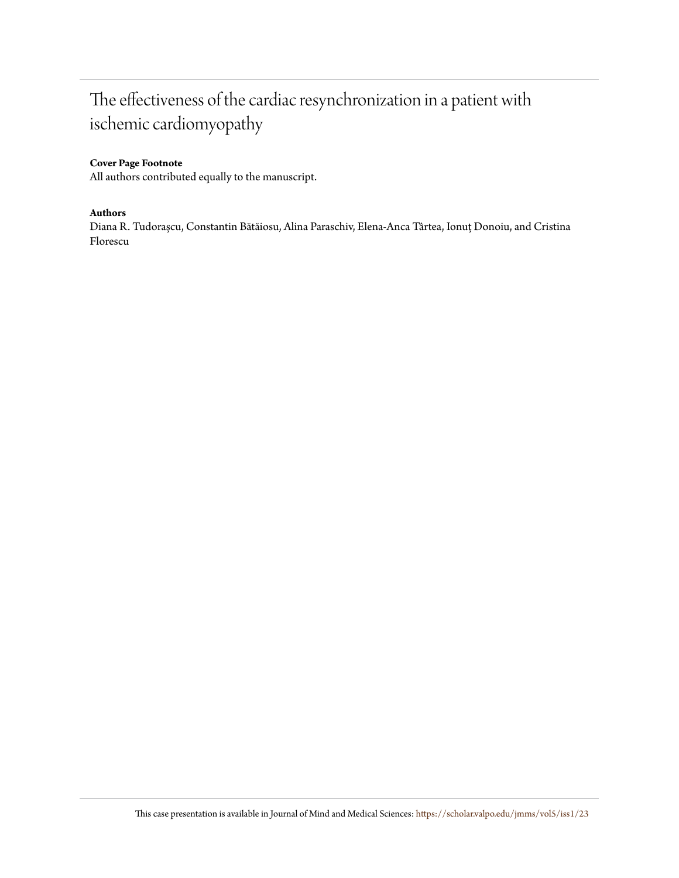## The effectiveness of the cardiac resynchronization in a patient with ischemic cardiomyopathy

## **Cover Page Footnote**

All authors contributed equally to the manuscript.

### **Authors**

Diana R. Tudorașcu, Constantin Bătăiosu, Alina Paraschiv, Elena-Anca Târtea, Ionuț Donoiu, and Cristina Florescu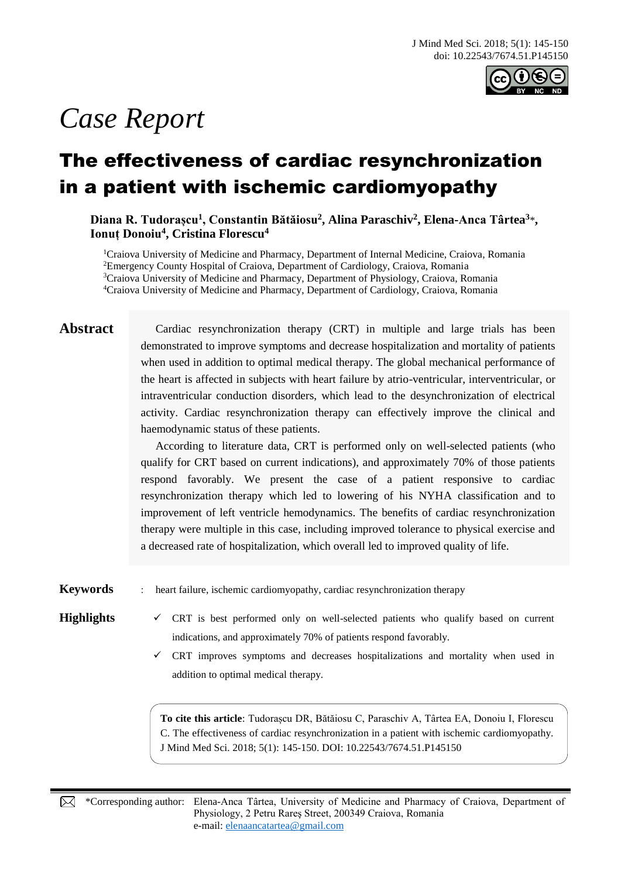

# *Case Report*

## The effectiveness of cardiac resynchronization in a patient with ischemic cardiomyopathy

Diana R. Tudorașcu<sup>1</sup>, Constantin Bătăiosu<sup>2</sup>, Alina Paraschiv<sup>2</sup>, Elena-Anca Târtea<sup>3</sup>\*, **Ionuț Donoiu<sup>4</sup> , Cristina Florescu<sup>4</sup>**

<sup>1</sup>Craiova University of Medicine and Pharmacy, Department of Internal Medicine, Craiova, Romania Emergency County Hospital of Craiova, Department of Cardiology, Craiova, Romania Craiova University of Medicine and Pharmacy, Department of Physiology, Craiova, Romania Craiova University of Medicine and Pharmacy, Department of Cardiology, Craiova, Romania

**Abstract** Cardiac resynchronization therapy (CRT) in multiple and large trials has been demonstrated to improve symptoms and decrease hospitalization and mortality of patients when used in addition to optimal medical therapy. The global mechanical performance of the heart is affected in subjects with heart failure by atrio-ventricular, interventricular, or intraventricular conduction disorders, which lead to the desynchronization of electrical activity. Cardiac resynchronization therapy can effectively improve the clinical and haemodynamic status of these patients.

> According to literature data, CRT is performed only on well-selected patients (who qualify for CRT based on current indications), and approximately 70% of those patients respond favorably. We present the case of a patient responsive to cardiac resynchronization therapy which led to lowering of his NYHA classification and to improvement of left ventricle hemodynamics. The benefits of cardiac resynchronization therapy were multiple in this case, including improved tolerance to physical exercise and a decreased rate of hospitalization, which overall led to improved quality of life.

**Keywords** : heart failure, ischemic cardiomyopathy, cardiac resynchronization therapy

**Highlights**  $\checkmark$  CRT is best performed only on well-selected patients who qualify based on current indications, and approximately 70% of patients respond favorably.

> $\checkmark$  CRT improves symptoms and decreases hospitalizations and mortality when used in addition to optimal medical therapy.

**To cite this article**: Tudorașcu DR, Bătăiosu C, Paraschiv A, Târtea EA, Donoiu I, Florescu C. The effectiveness of cardiac resynchronization in a patient with ischemic cardiomyopathy. J Mind Med Sci. 2018; 5(1): 145-150. DOI: 10.22543/7674.51.P145150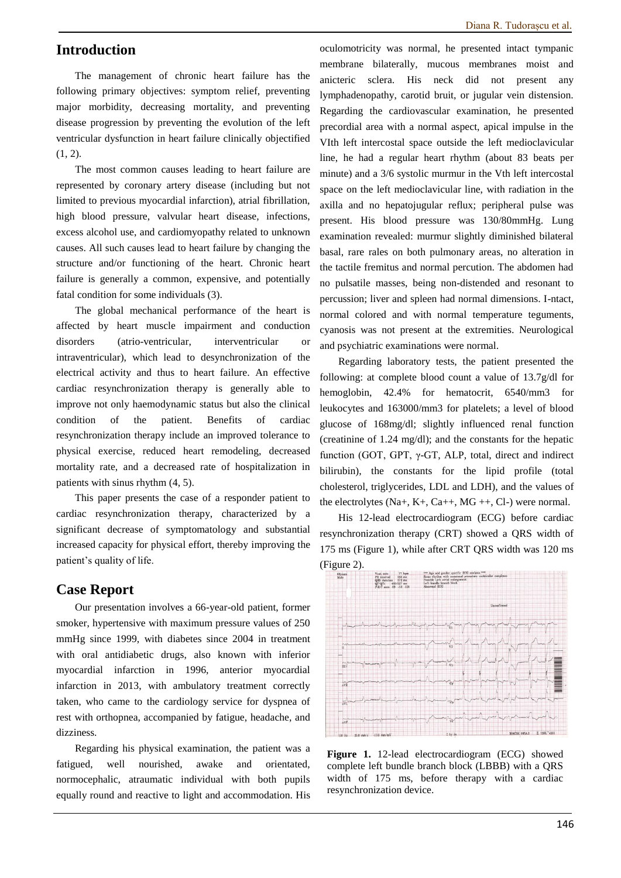## **Introduction**

The management of chronic heart failure has the following primary objectives: symptom relief, preventing major morbidity, decreasing mortality, and preventing disease progression by preventing the evolution of the left ventricular dysfunction in heart failure clinically objectified (1, 2).

The most common causes leading to heart failure are represented by coronary artery disease (including but not limited to previous myocardial infarction), atrial fibrillation, high blood pressure, valvular heart disease, infections, excess alcohol use, and cardiomyopathy related to unknown causes. All such causes lead to heart failure by changing the structure and/or functioning of the heart. Chronic heart failure is generally a common, expensive, and potentially fatal condition for some individuals (3).

The global mechanical performance of the heart is affected by heart muscle impairment and conduction disorders (atrio-ventricular, interventricular or intraventricular), which lead to desynchronization of the electrical activity and thus to heart failure. An effective cardiac resynchronization therapy is generally able to improve not only haemodynamic status but also the clinical condition of the patient. Benefits of cardiac resynchronization therapy include an improved tolerance to physical exercise, reduced heart remodeling, decreased mortality rate, and a decreased rate of hospitalization in patients with sinus rhythm (4, 5).

This paper presents the case of a responder patient to cardiac resynchronization therapy, characterized by a significant decrease of symptomatology and substantial increased capacity for physical effort, thereby improving the patient's quality of life.

## **Case Report**

Our presentation involves a 66-year-old patient, former smoker, hypertensive with maximum pressure values of 250 mmHg since 1999, with diabetes since 2004 in treatment with oral antidiabetic drugs, also known with inferior myocardial infarction in 1996, anterior myocardial infarction in 2013, with ambulatory treatment correctly taken, who came to the cardiology service for dyspnea of rest with orthopnea, accompanied by fatigue, headache, and dizziness.

Regarding his physical examination, the patient was a fatigued, well nourished, awake and orientated, normocephalic, atraumatic individual with both pupils equally round and reactive to light and accommodation. His oculomotricity was normal, he presented intact tympanic membrane bilaterally, mucous membranes moist and anicteric sclera. His neck did not present any lymphadenopathy, carotid bruit, or jugular vein distension. Regarding the cardiovascular examination, he presented precordial area with a normal aspect, apical impulse in the VIth left intercostal space outside the left medioclavicular line, he had a regular heart rhythm (about 83 beats per minute) and a 3/6 systolic murmur in the Vth left intercostal space on the left medioclavicular line, with radiation in the axilla and no hepatojugular reflux; peripheral pulse was present. His blood pressure was 130/80mmHg. Lung examination revealed: murmur slightly diminished bilateral basal, rare rales on both pulmonary areas, no alteration in the tactile fremitus and normal percution. The abdomen had no pulsatile masses, being non-distended and resonant to percussion; liver and spleen had normal dimensions. I-ntact, normal colored and with normal temperature teguments, cyanosis was not present at the extremities. Neurological and psychiatric examinations were normal.

Regarding laboratory tests, the patient presented the following: at complete blood count a value of 13.7g/dl for hemoglobin, 42.4% for hematocrit, 6540/mm3 for leukocytes and 163000/mm3 for platelets; a level of blood glucose of 168mg/dl; slightly influenced renal function (creatinine of 1.24 mg/dl); and the constants for the hepatic function (GOT, GPT, γ-GT, ALP, total, direct and indirect bilirubin), the constants for the lipid profile (total cholesterol, triglycerides, LDL and LDH), and the values of the electrolytes  $(Na+, K+, Ca++, MG++, Cl-)$  were normal.

His 12-lead electrocardiogram (ECG) before cardiac resynchronization therapy (CRT) showed a QRS width of 175 ms (Figure 1), while after CRT QRS width was 120 ms (Figure 2).



**Figure 1.** 12-lead electrocardiogram (ECG) showed complete left bundle branch block (LBBB) with a QRS width of 175 ms, before therapy with a cardiac resynchronization device.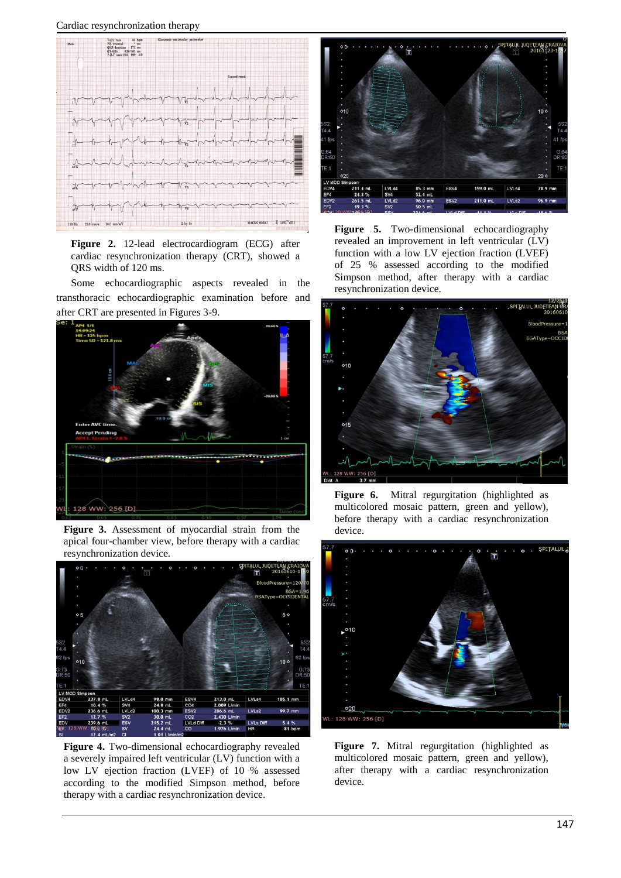

**Figure 2.** 12-lead electrocardiogram (ECG) after cardiac resynchronization therapy (CRT), showed a QRS width of 120 ms.

Some echocardiographic aspects revealed in the transthoracic echocardiographic examination before and after CRT are presented in Figures 3-9.



**Figure 3.** Assessment of myocardial strain from the apical four-chamber view, before therapy with a cardiac resynchronization device.



**Figure 4.** Two-dimensional echocardiography revealed a severely impaired left ventricular (LV) function with a low LV ejection fraction (LVEF) of 10 % assessed according to the modified Simpson method, before therapy with a cardiac resynchronization device.



**Figure 5.** Two-dimensional echocardiography revealed an improvement in left ventricular (LV) function with a low LV ejection fraction (LVEF) of 25 % assessed according to the modified Simpson method, after therapy with a cardiac resynchronization device.



**Figure 6.** Mitral regurgitation (highlighted as multicolored mosaic pattern, green and yellow), before therapy with a cardiac resynchronization device.



**Figure 7.** Mitral regurgitation (highlighted as multicolored mosaic pattern, green and yellow), after therapy with a cardiac resynchronization device.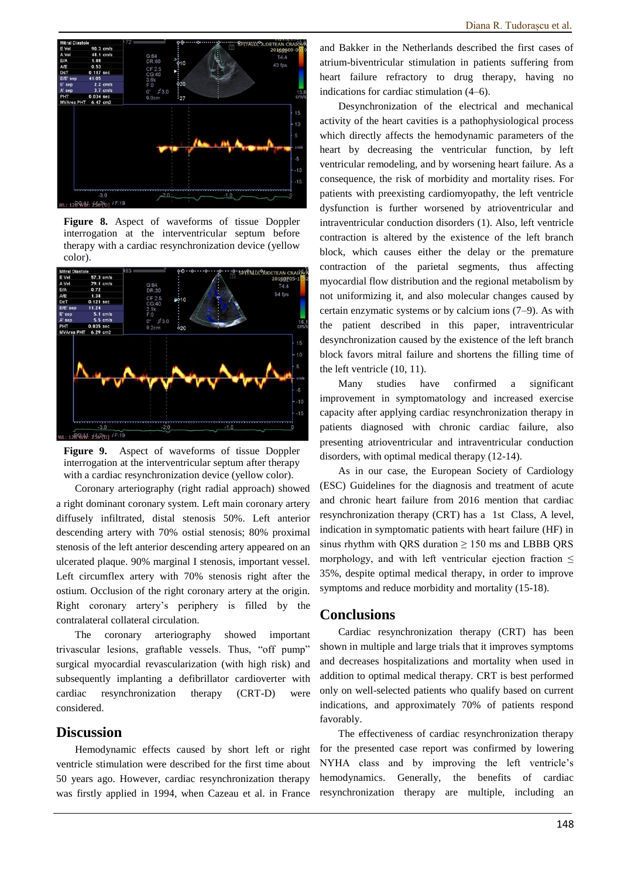

**Figure 8.** Aspect of waveforms of tissue Doppler interrogation at the interventricular septum before therapy with a cardiac resynchronization device (yellow color).



**Figure 9.** Aspect of waveforms of tissue Doppler interrogation at the interventricular septum after therapy with a cardiac resynchronization device (yellow color).

Coronary arteriography (right radial approach) showed a right dominant coronary system. Left main coronary artery diffusely infiltrated, distal stenosis 50%. Left anterior descending artery with 70% ostial stenosis; 80% proximal stenosis of the left anterior descending artery appeared on an ulcerated plaque. 90% marginal I stenosis, important vessel. Left circumflex artery with 70% stenosis right after the ostium. Occlusion of the right coronary artery at the origin. Right coronary artery's periphery is filled by the contralateral collateral circulation.

The coronary arteriography showed important trivascular lesions, graftable vessels. Thus, "off pump" surgical myocardial revascularization (with high risk) and subsequently implanting a defibrillator cardioverter with cardiac resynchronization therapy (CRT-D) were considered.

## **Discussion**

Hemodynamic effects caused by short left or right ventricle stimulation were described for the first time about 50 years ago. However, cardiac resynchronization therapy was firstly applied in 1994, when Cazeau et al. in France

and Bakker in the Netherlands described the first cases of atrium-biventricular stimulation in patients suffering from heart failure refractory to drug therapy, having no indications for cardiac stimulation (4–6).

Desynchronization of the electrical and mechanical activity of the heart cavities is a pathophysiological process which directly affects the hemodynamic parameters of the heart by decreasing the ventricular function, by left ventricular remodeling, and by worsening heart failure. As a consequence, the risk of morbidity and mortality rises. For patients with preexisting cardiomyopathy, the left ventricle dysfunction is further worsened by atrioventricular and intraventricular conduction disorders (1). Also, left ventricle contraction is altered by the existence of the left branch block, which causes either the delay or the premature contraction of the parietal segments, thus affecting myocardial flow distribution and the regional metabolism by not uniformizing it, and also molecular changes caused by certain enzymatic systems or by calcium ions (7–9). As with the patient described in this paper, intraventricular desynchronization caused by the existence of the left branch block favors mitral failure and shortens the filling time of the left ventricle (10, 11).

Many studies have confirmed a significant improvement in symptomatology and increased exercise capacity after applying cardiac resynchronization therapy in patients diagnosed with chronic cardiac failure, also presenting atrioventricular and intraventricular conduction disorders, with optimal medical therapy (12-14).

As in our case, the European Society of Cardiology (ESC) Guidelines for the diagnosis and treatment of acute and chronic heart failure from 2016 mention that cardiac resynchronization therapy (CRT) has a 1st Class, A level, indication in symptomatic patients with heart failure (HF) in sinus rhythm with QRS duration  $\geq 150$  ms and LBBB QRS morphology, and with left ventricular ejection fraction  $\leq$ 35%, despite optimal medical therapy, in order to improve symptoms and reduce morbidity and mortality (15-18).

## **Conclusions**

Cardiac resynchronization therapy (CRT) has been shown in multiple and large trials that it improves symptoms and decreases hospitalizations and mortality when used in addition to optimal medical therapy. CRT is best performed only on well-selected patients who qualify based on current indications, and approximately 70% of patients respond favorably.

The effectiveness of cardiac resynchronization therapy for the presented case report was confirmed by lowering NYHA class and by improving the left ventricle's hemodynamics. Generally, the benefits of cardiac resynchronization therapy are multiple, including an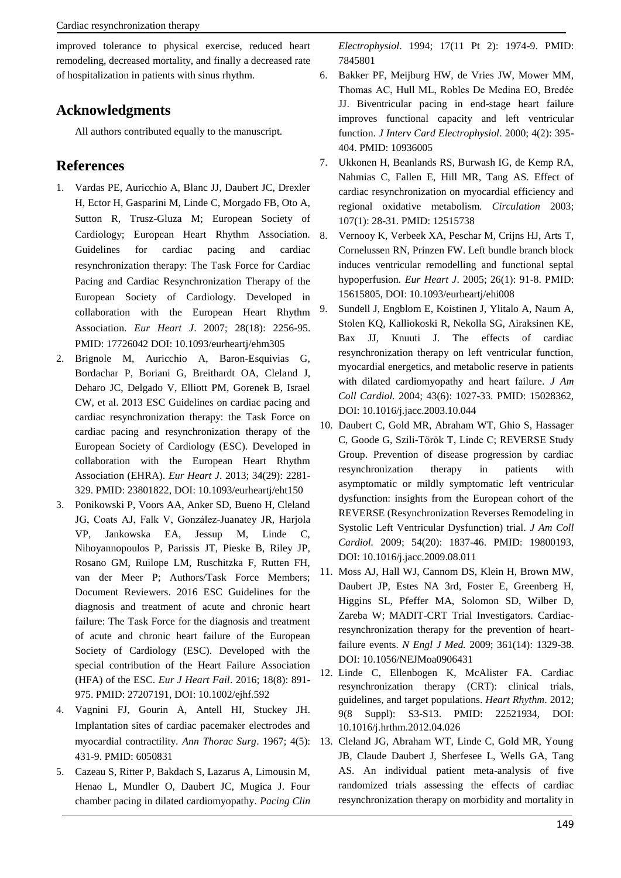improved tolerance to physical exercise, reduced heart remodeling, decreased mortality, and finally a decreased rate of hospitalization in patients with sinus rhythm.

## **Acknowledgments**

All authors contributed equally to the manuscript.

## **References**

- 1. Vardas PE, Auricchio A, Blanc JJ, Daubert JC, Drexler H, Ector H, Gasparini M, Linde C, Morgado FB, Oto A, Sutton R, Trusz-Gluza M; European Society of Cardiology; European Heart Rhythm Association. Guidelines for cardiac pacing and cardiac resynchronization therapy: The Task Force for Cardiac Pacing and Cardiac Resynchronization Therapy of the European Society of Cardiology. Developed in collaboration with the European Heart Rhythm Association. *Eur Heart J*. 2007; 28(18): 2256-95. PMID: 17726042 DOI: 10.1093/eurheartj/ehm305
- 2. Brignole M, Auricchio A, Baron-Esquivias G, Bordachar P, Boriani G, Breithardt OA, Cleland J, Deharo JC, Delgado V, Elliott PM, Gorenek B, Israel CW, et al. 2013 ESC Guidelines on cardiac pacing and cardiac resynchronization therapy: the Task Force on cardiac pacing and resynchronization therapy of the European Society of Cardiology (ESC). Developed in collaboration with the European Heart Rhythm Association (EHRA). *Eur Heart J*. 2013; 34(29): 2281- 329. PMID: 23801822, DOI: 10.1093/eurheartj/eht150
- 3. Ponikowski P, Voors AA, Anker SD, Bueno H, Cleland JG, Coats AJ, Falk V, González-Juanatey JR, Harjola VP, Jankowska EA, Jessup M, Linde C, Nihoyannopoulos P, Parissis JT, Pieske B, Riley JP, Rosano GM, Ruilope LM, Ruschitzka F, Rutten FH, van der Meer P; Authors/Task Force Members; Document Reviewers. 2016 ESC Guidelines for the diagnosis and treatment of acute and chronic heart failure: The Task Force for the diagnosis and treatment of acute and chronic heart failure of the European Society of Cardiology (ESC). Developed with the special contribution of the Heart Failure Association (HFA) of the ESC. *Eur J Heart Fail*. 2016; 18(8): 891- 975. PMID: 27207191, DOI: 10.1002/ejhf.592
- 4. Vagnini FJ, Gourin A, Antell HI, Stuckey JH. Implantation sites of cardiac pacemaker electrodes and 431-9. PMID: 6050831
- 5. Cazeau S, Ritter P, Bakdach S, Lazarus A, Limousin M, Henao L, Mundler O, Daubert JC, Mugica J. Four chamber pacing in dilated cardiomyopathy. *Pacing Clin*

*Electrophysiol*. 1994; 17(11 Pt 2): 1974-9. PMID: 7845801

- 6. Bakker PF, Meijburg HW, de Vries JW, Mower MM, Thomas AC, Hull ML, Robles De Medina EO, Bredée JJ. Biventricular pacing in end-stage heart failure improves functional capacity and left ventricular function. *J Interv Card Electrophysiol*. 2000; 4(2): 395- 404. PMID: 10936005
- 7. Ukkonen H, Beanlands RS, Burwash IG, de Kemp RA, Nahmias C, Fallen E, Hill MR, Tang AS. Effect of cardiac resynchronization on myocardial efficiency and regional oxidative metabolism. *Circulation* 2003; 107(1): 28-31. PMID: 12515738
- 8. Vernooy K, Verbeek XA, Peschar M, Crijns HJ, Arts T, Cornelussen RN, Prinzen FW. Left bundle branch block induces ventricular remodelling and functional septal hypoperfusion. *Eur Heart J*. 2005; 26(1): 91-8. PMID: 15615805, DOI: 10.1093/eurheartj/ehi008
- 9. Sundell J, Engblom E, Koistinen J, Ylitalo A, Naum A, Stolen KQ, Kalliokoski R, Nekolla SG, Airaksinen KE, Bax JJ, Knuuti J. The effects of cardiac resynchronization therapy on left ventricular function, myocardial energetics, and metabolic reserve in patients with dilated cardiomyopathy and heart failure. *J Am Coll Cardiol.* 2004; 43(6): 1027-33. PMID: 15028362, DOI: 10.1016/j.jacc.2003.10.044
- 10. Daubert C, Gold MR, Abraham WT, Ghio S, Hassager C, Goode G, Szili-Török T, Linde C; REVERSE Study Group. Prevention of disease progression by cardiac resynchronization therapy in patients with asymptomatic or mildly symptomatic left ventricular dysfunction: insights from the European cohort of the REVERSE (Resynchronization Reverses Remodeling in Systolic Left Ventricular Dysfunction) trial. *J Am Coll Cardiol.* 2009; 54(20): 1837-46. PMID: 19800193, DOI: 10.1016/j.jacc.2009.08.011
- 11. Moss AJ, Hall WJ, Cannom DS, Klein H, Brown MW, Daubert JP, Estes NA 3rd, Foster E, Greenberg H, Higgins SL, Pfeffer MA, Solomon SD, Wilber D, Zareba W; MADIT-CRT Trial Investigators. Cardiacresynchronization therapy for the prevention of heartfailure events. *N Engl J Med.* 2009; 361(14): 1329-38. DOI: 10.1056/NEJMoa0906431
- 12. Linde C, Ellenbogen K, McAlister FA. Cardiac resynchronization therapy (CRT): clinical trials, guidelines, and target populations. *Heart Rhythm*. 2012; 9(8 Suppl): S3-S13. PMID: 22521934, DOI: 10.1016/j.hrthm.2012.04.026
- myocardial contractility. *Ann Thorac Surg*. 1967; 4(5): 13. Cleland JG, Abraham WT, Linde C, Gold MR, Young JB, Claude Daubert J, Sherfesee L, Wells GA, Tang AS. An individual patient meta-analysis of five randomized trials assessing the effects of cardiac resynchronization therapy on morbidity and mortality in